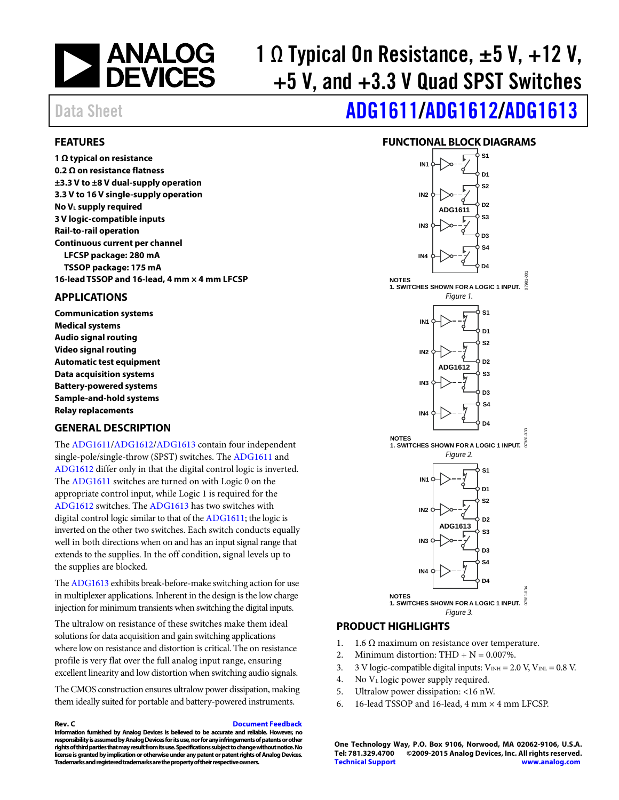

# 1  $\Omega$  Typical On Resistance,  $\pm 5$  V,  $+12$  V, +5 V, and +3.3 V Quad SPST Switches

# Data Sheet **[ADG1611](http://www.analog.com/ADG1611?doc=ADG1611_1612_1613.pdf)[/ADG1612](http://www.analog.com/ADG1612?doc=ADG1611_1612_1613.pdf)[/ADG1613](http://www.analog.com/ADG1613?doc=ADG1611_1612_1613.pdf)**

### <span id="page-0-0"></span>**FEATURES**

**1 Ω typical on resistance 0.2 Ω on resistance flatness ±3.3 V to ±8 V dual-supply operation 3.3 V to 16 V single-supply operation No VL supply required 3 V logic-compatible inputs Rail-to-rail operation Continuous current per channel LFCSP package: 280 mA TSSOP package: 175 mA 16-lead TSSOP and 16-lead, 4 mm × 4 mm LFCSP** 

#### <span id="page-0-1"></span>**APPLICATIONS**

**Communication systems Medical systems Audio signal routing Video signal routing Automatic test equipment Data acquisition systems Battery-powered systems Sample-and-hold systems Relay replacements** 

### <span id="page-0-2"></span>**GENERAL DESCRIPTION**

The [ADG1611/](http://www.analog.com/ADG1611?doc=ADG1611_1612_1613.pdf)[ADG1612/](http://www.analog.com/ADG1612?doc=ADG1611_1612_1613.pdf)[ADG1613 c](http://www.analog.com/ADG1613?doc=ADG1611_1612_1613.pdf)ontain four independent single-pole/single-throw (SPST) switches. The [ADG1611 a](http://www.analog.com/ADG1611?doc=ADG1611_1612_1613.pdf)nd [ADG1612 d](http://www.analog.com/ADG1612?doc=ADG1611_1612_1613.pdf)iffer only in that the digital control logic is inverted. The [ADG1611 s](http://www.analog.com/ADG1611?doc=ADG1611_1612_1613.pdf)witches are turned on with Logic 0 on the appropriate control input, while Logic 1 is required for the [ADG1612 s](http://www.analog.com/ADG1612?doc=ADG1611_1612_1613.pdf)witches. The [ADG1613](http://www.analog.com/ADG1613?doc=ADG1611_1612_1613.pdf) has two switches with digital control logic similar to that of th[e ADG1611;](http://www.analog.com/ADG1611?doc=ADG1611_1612_1613.pdf) the logic is inverted on the other two switches. Each switch conducts equally well in both directions when on and has an input signal range that extends to the supplies. In the off condition, signal levels up to the supplies are blocked.

Th[e ADG1613 e](http://www.analog.com/ADG1613?doc=ADG1611_1612_1613.pdf)xhibits break-before-make switching action for use in multiplexer applications. Inherent in the design is the low charge injection for minimum transients when switching the digital inputs.

The ultralow on resistance of these switches make them ideal solutions for data acquisition and gain switching applications where low on resistance and distortion is critical. The on resistance profile is very flat over the full analog input range, ensuring excellent linearity and low distortion when switching audio signals.

The CMOS construction ensures ultralow power dissipation, making them ideally suited for portable and battery-powered instruments.

#### **Rev. C [Document Feedback](https://form.analog.com/Form_Pages/feedback/documentfeedback.aspx?doc=ADG1611_1612_1613.pdf&product=ADG1611%20ADG1612%20ADG1613&rev=C)**

**Information furnished by Analog Devices is believed to be accurate and reliable. However, no responsibility is assumed by Analog Devices for its use, nor for any infringements of patents or other rights of third parties that may result from its use. Specifications subject to change without notice. No license is granted by implication or otherwise under any patent or patent rights of Analog Devices. Trademarks and registered trademarks are the property of their respective owners.** 

### **FUNCTIONAL BLOCK DIAGRAMS**

<span id="page-0-3"></span>

#### <span id="page-0-4"></span>**PRODUCT HIGHLIGHTS**

- 1. 1.6  $\Omega$  maximum on resistance over temperature.
- 2. Minimum distortion:  $THD + N = 0.007\%$ .
- 3. 3 V logic-compatible digital inputs:  $V_{INH} = 2.0 V, V_{INL} = 0.8 V$ .
- 4. No  $V<sub>L</sub>$  logic power supply required.
- 5. Ultralow power dissipation: <16 nW.
- 6. 16-lead TSSOP and 16-lead, 4 mm  $\times$  4 mm LFCSP.

**One Technology Way, P.O. Box 9106, Norwood, MA 02062-9106, U.S.A. Tel: 781.329.4700 ©2009-2015 Analog Devices, Inc. All rights reserved. [Technical Support](http://www.analog.com/en/content/technical_support_page/fca.html) [www.analog.com](http://www.analog.com/)**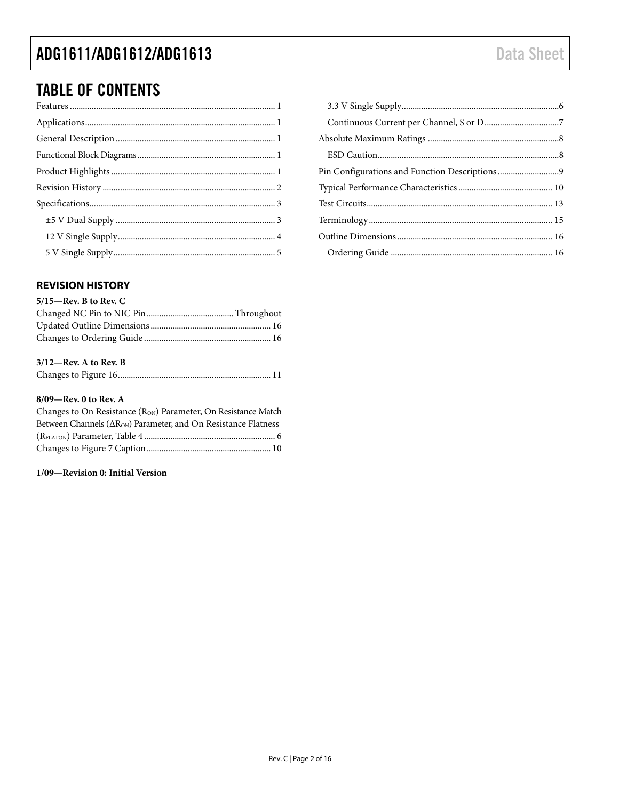### ADG1611/ADG1612/ADG1613

## **TABLE OF CONTENTS**

### <span id="page-1-0"></span>**REVISION HISTORY**

| $5/15$ —Rev. B to Rev. C |  |
|--------------------------|--|
|                          |  |
|                          |  |
|                          |  |

### $3/12$ –Rev. A to Rev. B

|--|--|--|

#### 8/09-Rev. 0 to Rev. A

| Changes to On Resistance $(R_{ON})$ Parameter, On Resistance Match         |  |
|----------------------------------------------------------------------------|--|
| Between Channels ( $\Delta R_{ON}$ ) Parameter, and On Resistance Flatness |  |
|                                                                            |  |
|                                                                            |  |
|                                                                            |  |

### 1/09-Revision 0: Initial Version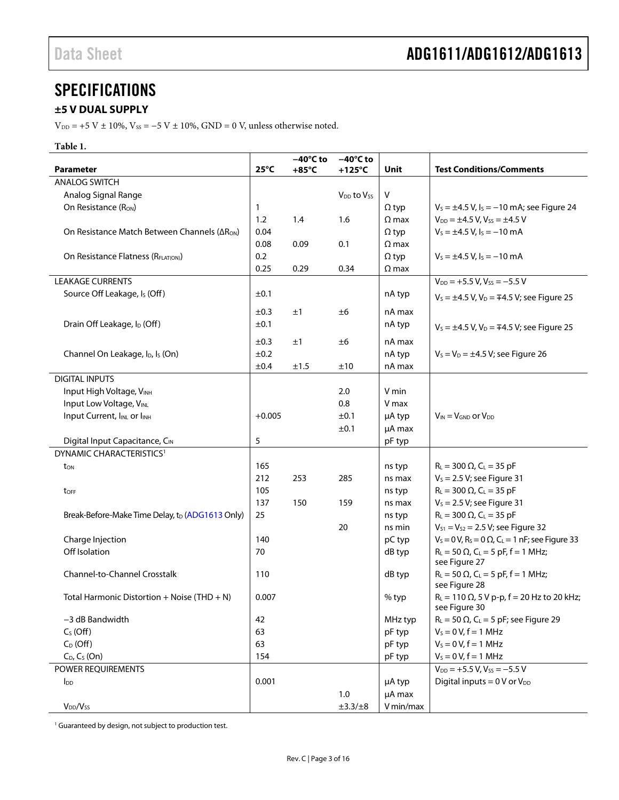### <span id="page-2-0"></span>**SPECIFICATIONS**

### <span id="page-2-1"></span>**±5 V DUAL SUPPLY**

 $V_{DD}$  = +5 V ± 10%,  $V_{SS}$  = -5 V ± 10%, GND = 0 V, unless otherwise noted.

#### **Table 1.**

|                                                          |                | $-40^{\circ}$ C to | $-40^{\circ}$ C to   |              |                                                                                 |
|----------------------------------------------------------|----------------|--------------------|----------------------|--------------|---------------------------------------------------------------------------------|
| <b>Parameter</b>                                         | $25^{\circ}$ C | $+85^{\circ}$ C    | $+125^{\circ}$ C     | Unit         | <b>Test Conditions/Comments</b>                                                 |
| <b>ANALOG SWITCH</b>                                     |                |                    |                      |              |                                                                                 |
| Analog Signal Range                                      |                |                    | $V_{DD}$ to $V_{SS}$ | V            |                                                                                 |
| On Resistance (RON)                                      | 1              |                    |                      | $\Omega$ typ | $V_s = \pm 4.5$ V, $I_s = -10$ mA; see Figure 24                                |
|                                                          | 1.2            | 1.4                | 1.6                  | $\Omega$ max | $V_{DD} = \pm 4.5$ V, $V_{SS} = \pm 4.5$ V                                      |
| On Resistance Match Between Channels ( $\Delta R_{ON}$ ) | 0.04           |                    |                      | $\Omega$ typ | $V_s = \pm 4.5$ V, $I_s = -10$ mA                                               |
|                                                          | 0.08           | 0.09               | 0.1                  | $\Omega$ max |                                                                                 |
| On Resistance Flatness (RFLAT(ON))                       | 0.2            |                    |                      | $\Omega$ typ | $V_s = \pm 4.5$ V, $I_s = -10$ mA                                               |
|                                                          | 0.25           | 0.29               | 0.34                 | $\Omega$ max |                                                                                 |
| <b>LEAKAGE CURRENTS</b>                                  |                |                    |                      |              | $V_{DD}$ = +5.5 V, V <sub>ss</sub> = -5.5 V                                     |
| Source Off Leakage, Is (Off)                             | ±0.1           |                    |                      | nA typ       | $V_s = \pm 4.5$ V, V <sub>D</sub> = $\mp 4.5$ V; see Figure 25                  |
|                                                          | ±0.3           | ±1                 | ±6                   | nA max       |                                                                                 |
| Drain Off Leakage, I <sub>D</sub> (Off)                  | ±0.1           |                    |                      | nA typ       |                                                                                 |
|                                                          |                |                    |                      |              | $V_s = \pm 4.5$ V, $V_D = \mp 4.5$ V; see Figure 25                             |
|                                                          | ±0.3           | ±1                 | ±6                   | nA max       |                                                                                 |
| Channel On Leakage, I <sub>D</sub> , I <sub>s</sub> (On) | ±0.2           |                    |                      | nA typ       | $V_s = V_D = \pm 4.5$ V; see Figure 26                                          |
|                                                          | ±0.4           | ±1.5               | ±10                  | nA max       |                                                                                 |
| <b>DIGITAL INPUTS</b>                                    |                |                    |                      |              |                                                                                 |
| Input High Voltage, VINH                                 |                |                    | 2.0                  | V min        |                                                                                 |
| Input Low Voltage, VINL                                  |                |                    | 0.8                  | V max        |                                                                                 |
| Input Current, INL or INH                                | $+0.005$       |                    | ±0.1                 | µA typ       | $V_{IN} = V_{GND}$ or $V_{DD}$                                                  |
|                                                          |                |                    | ±0.1                 | µA max       |                                                                                 |
| Digital Input Capacitance, CIN                           | 5              |                    |                      | pF typ       |                                                                                 |
| DYNAMIC CHARACTERISTICS <sup>1</sup>                     |                |                    |                      |              |                                                                                 |
| ton                                                      | 165            |                    |                      | ns typ       | $R_L = 300 \Omega$ , $C_L = 35 pF$                                              |
|                                                          | 212            | 253                | 285                  | ns max       | $V_s = 2.5 V$ ; see Figure 31                                                   |
| toff                                                     | 105            |                    |                      | ns typ       | $R_L = 300 \Omega$ , $C_L = 35 pF$                                              |
|                                                          | 137            | 150                | 159                  | ns max       | $V_s = 2.5 V$ ; see Figure 31                                                   |
| Break-Before-Make Time Delay, to (ADG1613 Only)          | 25             |                    |                      | ns typ       | $R_L = 300 \Omega$ , $C_L = 35 pF$                                              |
|                                                          |                |                    | 20                   | ns min       | $V_{S1} = V_{S2} = 2.5 V$ ; see Figure 32                                       |
| Charge Injection                                         | 140            |                    |                      | pC typ       | $V_s = 0$ V, R <sub>s</sub> = 0 $\Omega$ , C <sub>L</sub> = 1 nF; see Figure 33 |
| Off Isolation                                            | 70             |                    |                      | dB typ       | $R_L = 50 \Omega$ , $C_L = 5 pF$ , f = 1 MHz;                                   |
|                                                          |                |                    |                      |              | see Figure 27                                                                   |
| <b>Channel-to-Channel Crosstalk</b>                      | 110            |                    |                      | dB typ       | $R_L = 50 \Omega$ , $C_L = 5 pF$ , $f = 1 MHz$ ;<br>see Figure 28               |
| Total Harmonic Distortion + Noise (THD + N)              | 0.007          |                    |                      | % typ        | $R_L = 110 \Omega$ , 5 V p-p, f = 20 Hz to 20 kHz;<br>see Figure 30             |
| -3 dB Bandwidth                                          | 42             |                    |                      | MHz typ      | $R_L$ = 50 $\Omega$ , C <sub>L</sub> = 5 pF; see Figure 29                      |
| $C_S$ (Off)                                              | 63             |                    |                      | pF typ       | $V_S = 0 V, f = 1 MHz$                                                          |
| $C_D$ (Off)                                              | 63             |                    |                      | pF typ       | $V_s = 0 V, f = 1 MHz$                                                          |
| $C_D$ , $C_S$ (On)                                       | 154            |                    |                      | pF typ       | $V_S = 0 V, f = 1 MHz$                                                          |
| POWER REQUIREMENTS                                       |                |                    |                      |              | $V_{DD}$ = +5.5 V, V <sub>ss</sub> = -5.5 V                                     |
| $I_{DD}$                                                 | 0.001          |                    |                      | µA typ       | Digital inputs = $0V$ or $V_{DD}$                                               |
|                                                          |                |                    | 1.0                  | µA max       |                                                                                 |
| $V_{DD}/V_{SS}$                                          |                |                    | $\pm 3.3/\pm 8$      | V min/max    |                                                                                 |
|                                                          |                |                    |                      |              |                                                                                 |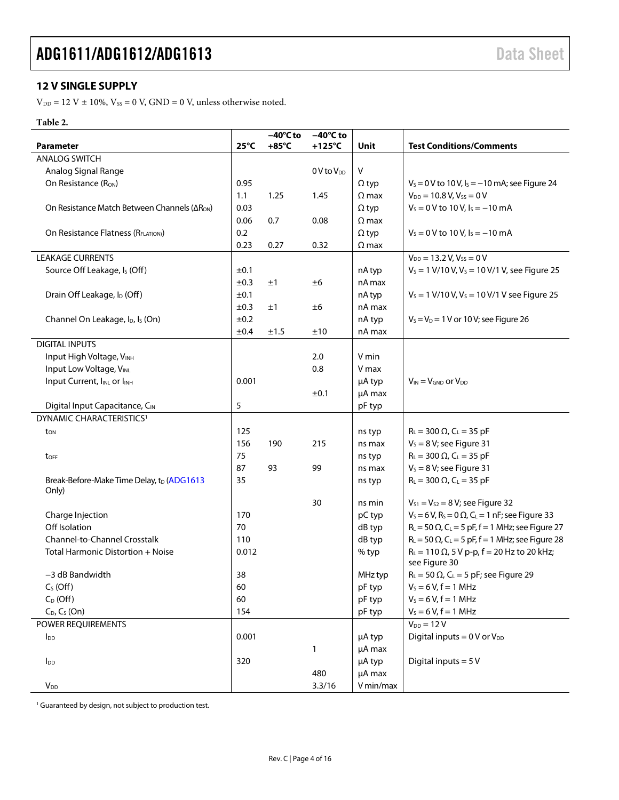### <span id="page-3-0"></span>**12 V SINGLE SUPPLY**

 $V_{DD} = 12$  V  $\pm$  10%,  $V_{SS} = 0$  V, GND = 0 V, unless otherwise noted.

### **Table 2.**

|                                                          |                | $-40^{\circ}$ C to | $-40^{\circ}$ C to |              |                                                                                  |
|----------------------------------------------------------|----------------|--------------------|--------------------|--------------|----------------------------------------------------------------------------------|
| Parameter                                                | $25^{\circ}$ C | $+85^{\circ}$ C    | $+125^{\circ}$ C   | Unit         | <b>Test Conditions/Comments</b>                                                  |
| <b>ANALOG SWITCH</b>                                     |                |                    |                    |              |                                                                                  |
| Analog Signal Range                                      |                |                    | $0V$ to $V_{DD}$   | $\vee$       |                                                                                  |
| On Resistance (R <sub>ON</sub> )                         | 0.95           |                    |                    | $\Omega$ typ | $V_s = 0$ V to 10 V, $I_s = -10$ mA; see Figure 24                               |
|                                                          | 1.1            | 1.25               | 1.45               | $\Omega$ max | $V_{DD} = 10.8 V, V_{SS} = 0 V$                                                  |
| On Resistance Match Between Channels (ΔR <sub>ON</sub> ) | 0.03           |                    |                    | $\Omega$ typ | $V_s = 0 V$ to 10 V, $I_s = -10$ mA                                              |
|                                                          | 0.06           | 0.7                | 0.08               | $\Omega$ max |                                                                                  |
| On Resistance Flatness (R <sub>FLATION</sub> )           | 0.2            |                    |                    | $\Omega$ typ | $V_s = 0 V$ to 10 V, $I_s = -10$ mA                                              |
|                                                          | 0.23           | 0.27               | 0.32               | $\Omega$ max |                                                                                  |
| <b>LEAKAGE CURRENTS</b>                                  |                |                    |                    |              | $V_{DD} = 13.2 V, V_{SS} = 0 V$                                                  |
| Source Off Leakage, I <sub>s</sub> (Off)                 | ±0.1           |                    |                    | nA typ       | $V_s = 1 V/10 V, V_s = 10 V/1 V$ , see Figure 25                                 |
|                                                          | ±0.3           | ±1                 | ±6                 | nA max       |                                                                                  |
| Drain Off Leakage, I <sub>D</sub> (Off)                  | ±0.1           |                    |                    | nA typ       | $V_s = 1 \text{ V}/10 \text{ V}, V_s = 10 \text{ V}/1 \text{ V}$ see Figure 25   |
|                                                          | ±0.3           | ±1                 | ±6                 | nA max       |                                                                                  |
| Channel On Leakage, I <sub>D</sub> , I <sub>s</sub> (On) | ±0.2           |                    |                    | nA typ       | $V_S = V_D = 1$ V or 10 V; see Figure 26                                         |
|                                                          | ±0.4           | ±1.5               | ±10                | nA max       |                                                                                  |
| <b>DIGITAL INPUTS</b>                                    |                |                    |                    |              |                                                                                  |
| Input High Voltage, VINH                                 |                |                    | 2.0                | V min        |                                                                                  |
| Input Low Voltage, VINL                                  |                |                    | 0.8                | V max        |                                                                                  |
| Input Current, IINL or IINH                              | 0.001          |                    |                    | µA typ       | $V_{IN} = V_{GND}$ or $V_{DD}$                                                   |
|                                                          |                |                    | ±0.1               | µA max       |                                                                                  |
| Digital Input Capacitance, CIN                           | 5              |                    |                    | pF typ       |                                                                                  |
| DYNAMIC CHARACTERISTICS <sup>1</sup>                     |                |                    |                    |              |                                                                                  |
| t <sub>on</sub>                                          | 125            |                    |                    | ns typ       | $R_L = 300 \Omega$ , C <sub>L</sub> = 35 pF                                      |
|                                                          | 156            | 190                | 215                | ns max       | $V_s = 8 V$ ; see Figure 31                                                      |
| toff                                                     | 75             |                    |                    | ns typ       | $R_L = 300 \Omega$ , $C_L = 35 pF$                                               |
|                                                          | 87             | 93                 | 99                 | ns max       | $V_s = 8 V$ ; see Figure 31                                                      |
| Break-Before-Make Time Delay, tp (ADG1613                | 35             |                    |                    | ns typ       | $R_L = 300 \Omega$ , $C_L = 35 pF$                                               |
| Only)                                                    |                |                    |                    |              |                                                                                  |
|                                                          |                |                    | 30                 | ns min       | $V_{S1} = V_{S2} = 8 V$ ; see Figure 32                                          |
| Charge Injection                                         | 170            |                    |                    | pC typ       | $V_s = 6 V$ , R <sub>s</sub> = 0 $\Omega$ , C <sub>L</sub> = 1 nF; see Figure 33 |
| Off Isolation                                            | 70             |                    |                    | dB typ       | $R_L$ = 50 $\Omega$ , C <sub>L</sub> = 5 pF, f = 1 MHz; see Figure 27            |
| Channel-to-Channel Crosstalk                             | 110            |                    |                    | dB typ       | $R_L$ = 50 $\Omega$ , C <sub>L</sub> = 5 pF, f = 1 MHz; see Figure 28            |
| Total Harmonic Distortion + Noise                        | 0.012          |                    |                    | % typ        | $R_L = 110 \Omega$ , 5 V p-p, f = 20 Hz to 20 kHz;<br>see Figure 30              |
| -3 dB Bandwidth                                          | 38             |                    |                    | MHz typ      | $R_L = 50 \Omega$ , C <sub>L</sub> = 5 pF; see Figure 29                         |
| $C_S(Off)$                                               | 60             |                    |                    | pF typ       | $V_s = 6 V, f = 1 MHz$                                                           |
| $C_D$ (Off)                                              | 60             |                    |                    | pF typ       | $V_s = 6 V, f = 1 MHz$                                                           |
| $C_D$ , $C_S$ (On)                                       | 154            |                    |                    | pF typ       | $V_s = 6 V, f = 1 MHz$                                                           |
| POWER REQUIREMENTS                                       |                |                    |                    |              | $V_{DD} = 12 V$                                                                  |
| <b>l</b> <sub>DD</sub>                                   | 0.001          |                    |                    | µA typ       | Digital inputs = $0V$ or $V_{DD}$                                                |
|                                                          |                |                    | 1                  | µA max       |                                                                                  |
| $I_{DD}$                                                 | 320            |                    |                    | µA typ       | Digital inputs = $5V$                                                            |
|                                                          |                |                    | 480                | µA max       |                                                                                  |
| $V_{DD}$                                                 |                |                    | 3.3/16             | V min/max    |                                                                                  |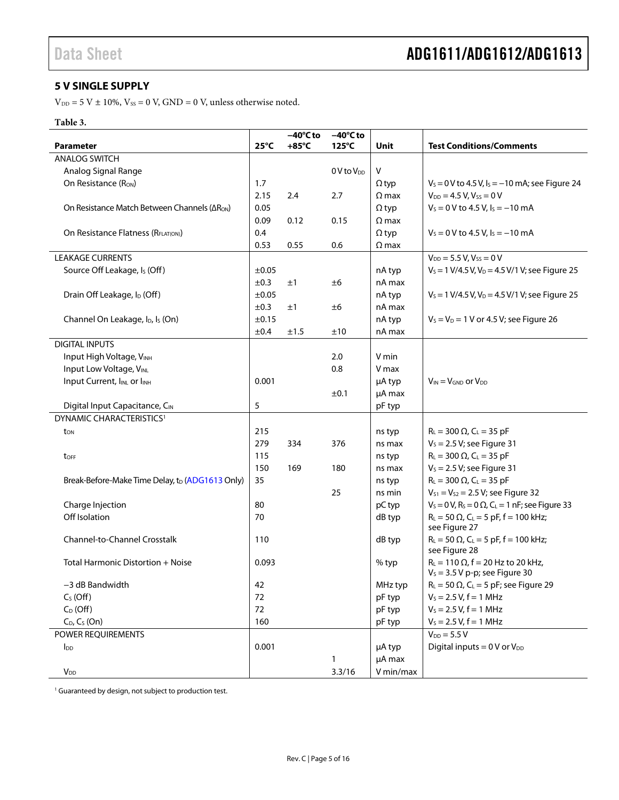### <span id="page-4-0"></span>**5 V SINGLE SUPPLY**

 $V_{DD} = 5$  V  $\pm$  10%,  $V_{SS} = 0$  V, GND = 0 V, unless otherwise noted.

### **Table 3.**

| $25^{\circ}$ C<br>$+85^{\circ}$ C<br>125°C<br><b>Test Conditions/Comments</b><br><b>Parameter</b><br>Unit<br><b>ANALOG SWITCH</b><br>V<br>Analog Signal Range<br>$0V$ to $V_{DD}$<br>$V_s = 0$ V to 4.5 V, $I_s = -10$ mA; see Figure 24<br>On Resistance (R <sub>ON</sub> )<br>1.7<br>$\Omega$ typ<br>2.15<br>2.4<br>2.7<br>$\Omega$ max<br>$V_{DD} = 4.5 V, V_{SS} = 0 V$<br>$V_s = 0$ V to 4.5 V, $I_s = -10$ mA<br>On Resistance Match Between Channels ( $\Delta R_{ON}$ )<br>0.05<br>$\Omega$ typ<br>0.09<br>0.12<br>0.15<br>$\Omega$ max<br>0.4<br>On Resistance Flatness (RFLAT(ON))<br>$V_s = 0$ V to 4.5 V, $I_s = -10$ mA<br>$\Omega$ typ<br>0.53<br>0.55<br>0.6<br>$\Omega$ max<br><b>LEAKAGE CURRENTS</b><br>$V_{DD} = 5.5 V, V_{SS} = 0 V$<br>Source Off Leakage, I <sub>s</sub> (Off)<br>±0.05<br>$V_s = 1 V/4.5 V, V_D = 4.5 V/1 V;$ see Figure 25<br>nA typ<br>±0.3<br>nA max<br>±1<br>±6<br>Drain Off Leakage, I <sub>D</sub> (Off)<br>±0.05<br>$V_s$ = 1 V/4.5 V, V <sub>D</sub> = 4.5 V/1 V; see Figure 25<br>nA typ<br>±0.3<br>nA max<br>±1<br>±6<br>±0.15<br>nA typ<br>$V_s = V_D = 1$ V or 4.5 V; see Figure 26<br>Channel On Leakage, I <sub>D</sub> , I <sub>s</sub> (On)<br>±0.4<br>±1.5<br>±10<br>nA max<br><b>DIGITAL INPUTS</b><br>Input High Voltage, VINH<br>2.0<br>V min<br>Input Low Voltage, VINL<br>0.8<br>V max<br>Input Current, IINL or IINH<br>0.001<br>µA typ<br>$V_{IN} = V_{GND}$ or $V_{DD}$<br>±0.1<br>µA max<br>5<br>Digital Input Capacitance, CIN<br>pF typ<br>DYNAMIC CHARACTERISTICS <sup>1</sup><br>215 |
|-----------------------------------------------------------------------------------------------------------------------------------------------------------------------------------------------------------------------------------------------------------------------------------------------------------------------------------------------------------------------------------------------------------------------------------------------------------------------------------------------------------------------------------------------------------------------------------------------------------------------------------------------------------------------------------------------------------------------------------------------------------------------------------------------------------------------------------------------------------------------------------------------------------------------------------------------------------------------------------------------------------------------------------------------------------------------------------------------------------------------------------------------------------------------------------------------------------------------------------------------------------------------------------------------------------------------------------------------------------------------------------------------------------------------------------------------------------------------------------------------------------------------------------------------------------|
|                                                                                                                                                                                                                                                                                                                                                                                                                                                                                                                                                                                                                                                                                                                                                                                                                                                                                                                                                                                                                                                                                                                                                                                                                                                                                                                                                                                                                                                                                                                                                           |
|                                                                                                                                                                                                                                                                                                                                                                                                                                                                                                                                                                                                                                                                                                                                                                                                                                                                                                                                                                                                                                                                                                                                                                                                                                                                                                                                                                                                                                                                                                                                                           |
|                                                                                                                                                                                                                                                                                                                                                                                                                                                                                                                                                                                                                                                                                                                                                                                                                                                                                                                                                                                                                                                                                                                                                                                                                                                                                                                                                                                                                                                                                                                                                           |
|                                                                                                                                                                                                                                                                                                                                                                                                                                                                                                                                                                                                                                                                                                                                                                                                                                                                                                                                                                                                                                                                                                                                                                                                                                                                                                                                                                                                                                                                                                                                                           |
|                                                                                                                                                                                                                                                                                                                                                                                                                                                                                                                                                                                                                                                                                                                                                                                                                                                                                                                                                                                                                                                                                                                                                                                                                                                                                                                                                                                                                                                                                                                                                           |
|                                                                                                                                                                                                                                                                                                                                                                                                                                                                                                                                                                                                                                                                                                                                                                                                                                                                                                                                                                                                                                                                                                                                                                                                                                                                                                                                                                                                                                                                                                                                                           |
|                                                                                                                                                                                                                                                                                                                                                                                                                                                                                                                                                                                                                                                                                                                                                                                                                                                                                                                                                                                                                                                                                                                                                                                                                                                                                                                                                                                                                                                                                                                                                           |
|                                                                                                                                                                                                                                                                                                                                                                                                                                                                                                                                                                                                                                                                                                                                                                                                                                                                                                                                                                                                                                                                                                                                                                                                                                                                                                                                                                                                                                                                                                                                                           |
|                                                                                                                                                                                                                                                                                                                                                                                                                                                                                                                                                                                                                                                                                                                                                                                                                                                                                                                                                                                                                                                                                                                                                                                                                                                                                                                                                                                                                                                                                                                                                           |
|                                                                                                                                                                                                                                                                                                                                                                                                                                                                                                                                                                                                                                                                                                                                                                                                                                                                                                                                                                                                                                                                                                                                                                                                                                                                                                                                                                                                                                                                                                                                                           |
|                                                                                                                                                                                                                                                                                                                                                                                                                                                                                                                                                                                                                                                                                                                                                                                                                                                                                                                                                                                                                                                                                                                                                                                                                                                                                                                                                                                                                                                                                                                                                           |
|                                                                                                                                                                                                                                                                                                                                                                                                                                                                                                                                                                                                                                                                                                                                                                                                                                                                                                                                                                                                                                                                                                                                                                                                                                                                                                                                                                                                                                                                                                                                                           |
|                                                                                                                                                                                                                                                                                                                                                                                                                                                                                                                                                                                                                                                                                                                                                                                                                                                                                                                                                                                                                                                                                                                                                                                                                                                                                                                                                                                                                                                                                                                                                           |
|                                                                                                                                                                                                                                                                                                                                                                                                                                                                                                                                                                                                                                                                                                                                                                                                                                                                                                                                                                                                                                                                                                                                                                                                                                                                                                                                                                                                                                                                                                                                                           |
|                                                                                                                                                                                                                                                                                                                                                                                                                                                                                                                                                                                                                                                                                                                                                                                                                                                                                                                                                                                                                                                                                                                                                                                                                                                                                                                                                                                                                                                                                                                                                           |
|                                                                                                                                                                                                                                                                                                                                                                                                                                                                                                                                                                                                                                                                                                                                                                                                                                                                                                                                                                                                                                                                                                                                                                                                                                                                                                                                                                                                                                                                                                                                                           |
|                                                                                                                                                                                                                                                                                                                                                                                                                                                                                                                                                                                                                                                                                                                                                                                                                                                                                                                                                                                                                                                                                                                                                                                                                                                                                                                                                                                                                                                                                                                                                           |
|                                                                                                                                                                                                                                                                                                                                                                                                                                                                                                                                                                                                                                                                                                                                                                                                                                                                                                                                                                                                                                                                                                                                                                                                                                                                                                                                                                                                                                                                                                                                                           |
|                                                                                                                                                                                                                                                                                                                                                                                                                                                                                                                                                                                                                                                                                                                                                                                                                                                                                                                                                                                                                                                                                                                                                                                                                                                                                                                                                                                                                                                                                                                                                           |
|                                                                                                                                                                                                                                                                                                                                                                                                                                                                                                                                                                                                                                                                                                                                                                                                                                                                                                                                                                                                                                                                                                                                                                                                                                                                                                                                                                                                                                                                                                                                                           |
|                                                                                                                                                                                                                                                                                                                                                                                                                                                                                                                                                                                                                                                                                                                                                                                                                                                                                                                                                                                                                                                                                                                                                                                                                                                                                                                                                                                                                                                                                                                                                           |
|                                                                                                                                                                                                                                                                                                                                                                                                                                                                                                                                                                                                                                                                                                                                                                                                                                                                                                                                                                                                                                                                                                                                                                                                                                                                                                                                                                                                                                                                                                                                                           |
|                                                                                                                                                                                                                                                                                                                                                                                                                                                                                                                                                                                                                                                                                                                                                                                                                                                                                                                                                                                                                                                                                                                                                                                                                                                                                                                                                                                                                                                                                                                                                           |
| $R_L = 300 \Omega$ , $C_L = 35 pF$<br>ns typ<br>t <sub>on</sub>                                                                                                                                                                                                                                                                                                                                                                                                                                                                                                                                                                                                                                                                                                                                                                                                                                                                                                                                                                                                                                                                                                                                                                                                                                                                                                                                                                                                                                                                                           |
| 279<br>$V_s = 2.5 V$ ; see Figure 31<br>334<br>376<br>ns max                                                                                                                                                                                                                                                                                                                                                                                                                                                                                                                                                                                                                                                                                                                                                                                                                                                                                                                                                                                                                                                                                                                                                                                                                                                                                                                                                                                                                                                                                              |
| 115<br>$R_L = 300 \Omega$ , $C_L = 35 pF$<br>ns typ<br>toff                                                                                                                                                                                                                                                                                                                                                                                                                                                                                                                                                                                                                                                                                                                                                                                                                                                                                                                                                                                                                                                                                                                                                                                                                                                                                                                                                                                                                                                                                               |
| $V_s = 2.5 V$ ; see Figure 31<br>150<br>169<br>180<br>ns max                                                                                                                                                                                                                                                                                                                                                                                                                                                                                                                                                                                                                                                                                                                                                                                                                                                                                                                                                                                                                                                                                                                                                                                                                                                                                                                                                                                                                                                                                              |
| $R_L = 300 \Omega$ , $C_L = 35 pF$<br>Break-Before-Make Time Delay, to (ADG1613 Only)<br>35<br>ns typ                                                                                                                                                                                                                                                                                                                                                                                                                                                                                                                                                                                                                                                                                                                                                                                                                                                                                                                                                                                                                                                                                                                                                                                                                                                                                                                                                                                                                                                     |
| $V_{S1} = V_{S2} = 2.5 V$ ; see Figure 32<br>25<br>ns min                                                                                                                                                                                                                                                                                                                                                                                                                                                                                                                                                                                                                                                                                                                                                                                                                                                                                                                                                                                                                                                                                                                                                                                                                                                                                                                                                                                                                                                                                                 |
| $V_s = 0 V$ , R <sub>s</sub> = 0 $\Omega$ , C <sub>L</sub> = 1 nF; see Figure 33<br>Charge Injection<br>80<br>pC typ                                                                                                                                                                                                                                                                                                                                                                                                                                                                                                                                                                                                                                                                                                                                                                                                                                                                                                                                                                                                                                                                                                                                                                                                                                                                                                                                                                                                                                      |
| Off Isolation<br>$R_L = 50 \Omega$ , C <sub>L</sub> = 5 pF, f = 100 kHz;<br>70<br>dB typ                                                                                                                                                                                                                                                                                                                                                                                                                                                                                                                                                                                                                                                                                                                                                                                                                                                                                                                                                                                                                                                                                                                                                                                                                                                                                                                                                                                                                                                                  |
| see Figure 27                                                                                                                                                                                                                                                                                                                                                                                                                                                                                                                                                                                                                                                                                                                                                                                                                                                                                                                                                                                                                                                                                                                                                                                                                                                                                                                                                                                                                                                                                                                                             |
| Channel-to-Channel Crosstalk<br>$R_L = 50 \Omega$ , C <sub>L</sub> = 5 pF, f = 100 kHz;<br>110<br>dB typ<br>see Figure 28                                                                                                                                                                                                                                                                                                                                                                                                                                                                                                                                                                                                                                                                                                                                                                                                                                                                                                                                                                                                                                                                                                                                                                                                                                                                                                                                                                                                                                 |
| $R_L = 110 \Omega$ , f = 20 Hz to 20 kHz,<br>Total Harmonic Distortion + Noise<br>0.093<br>% typ<br>$V_s = 3.5 V p-p$ ; see Figure 30                                                                                                                                                                                                                                                                                                                                                                                                                                                                                                                                                                                                                                                                                                                                                                                                                                                                                                                                                                                                                                                                                                                                                                                                                                                                                                                                                                                                                     |
| $R_L$ = 50 $\Omega$ , C <sub>L</sub> = 5 pF; see Figure 29<br>-3 dB Bandwidth<br>MHz typ<br>42                                                                                                                                                                                                                                                                                                                                                                                                                                                                                                                                                                                                                                                                                                                                                                                                                                                                                                                                                                                                                                                                                                                                                                                                                                                                                                                                                                                                                                                            |
| $V_s = 2.5 V, f = 1 MHz$<br>$CS$ (Off)<br>72<br>pF typ                                                                                                                                                                                                                                                                                                                                                                                                                                                                                                                                                                                                                                                                                                                                                                                                                                                                                                                                                                                                                                                                                                                                                                                                                                                                                                                                                                                                                                                                                                    |
| $C_D$ (Off)<br>72<br>pF typ<br>$V_s = 2.5 V, f = 1 MHz$                                                                                                                                                                                                                                                                                                                                                                                                                                                                                                                                                                                                                                                                                                                                                                                                                                                                                                                                                                                                                                                                                                                                                                                                                                                                                                                                                                                                                                                                                                   |
| $C_D$ , $C_S$ (On)<br>160<br>$V_s = 2.5 V, f = 1 MHz$<br>pF typ                                                                                                                                                                                                                                                                                                                                                                                                                                                                                                                                                                                                                                                                                                                                                                                                                                                                                                                                                                                                                                                                                                                                                                                                                                                                                                                                                                                                                                                                                           |
| $V_{DD} = 5.5 V$<br>POWER REQUIREMENTS                                                                                                                                                                                                                                                                                                                                                                                                                                                                                                                                                                                                                                                                                                                                                                                                                                                                                                                                                                                                                                                                                                                                                                                                                                                                                                                                                                                                                                                                                                                    |
| 0.001<br>Digital inputs = $0$ V or $V_{DD}$<br>µA typ<br>$I_{DD}$                                                                                                                                                                                                                                                                                                                                                                                                                                                                                                                                                                                                                                                                                                                                                                                                                                                                                                                                                                                                                                                                                                                                                                                                                                                                                                                                                                                                                                                                                         |
| µA max<br>1                                                                                                                                                                                                                                                                                                                                                                                                                                                                                                                                                                                                                                                                                                                                                                                                                                                                                                                                                                                                                                                                                                                                                                                                                                                                                                                                                                                                                                                                                                                                               |
| 3.3/16<br>V min/max<br>$V_{DD}$                                                                                                                                                                                                                                                                                                                                                                                                                                                                                                                                                                                                                                                                                                                                                                                                                                                                                                                                                                                                                                                                                                                                                                                                                                                                                                                                                                                                                                                                                                                           |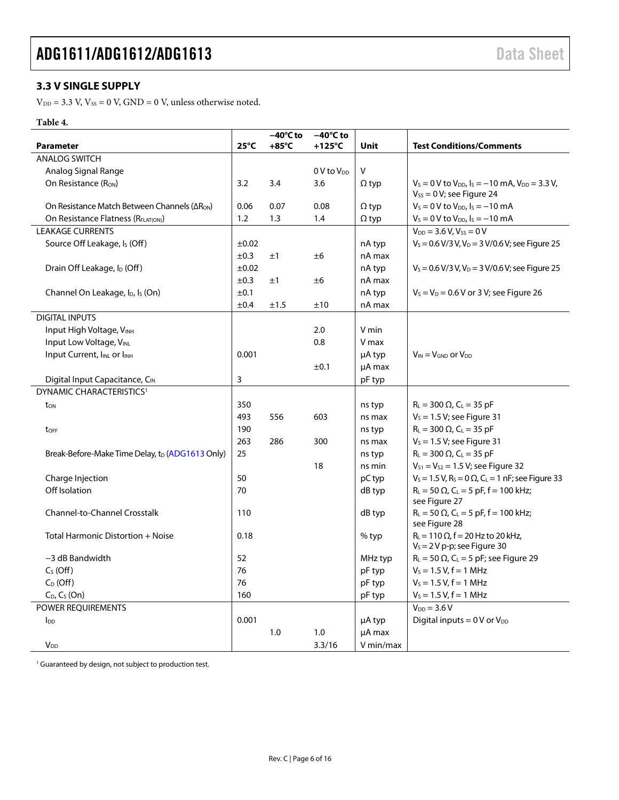### <span id="page-5-0"></span>**3.3 V SINGLE SUPPLY**

 $V_{DD} = 3.3$  V,  $V_{SS} = 0$  V,  $GND = 0$  V, unless otherwise noted.

### **Table 4.**

|                                                             |                | $-40^{\circ}$ C to | $-40^{\circ}$ C to     |              |                                                                                               |
|-------------------------------------------------------------|----------------|--------------------|------------------------|--------------|-----------------------------------------------------------------------------------------------|
| <b>Parameter</b>                                            | $25^{\circ}$ C | $+85^{\circ}$ C    | $+125^{\circ}$ C       | Unit         | <b>Test Conditions/Comments</b>                                                               |
| <b>ANALOG SWITCH</b>                                        |                |                    |                        |              |                                                                                               |
| Analog Signal Range                                         |                |                    | 0 V to V <sub>DD</sub> | V            |                                                                                               |
| On Resistance $(RON)$                                       | 3.2            | 3.4                | 3.6                    | $\Omega$ typ | $V_s = 0$ V to $V_{DD}$ , $I_s = -10$ mA, $V_{DD} = 3.3$ V,<br>$V_{SS} = 0 V$ ; see Figure 24 |
| On Resistance Match Between Channels (ΔR <sub>ON</sub> )    | 0.06           | 0.07               | 0.08                   | $\Omega$ typ | $V_s = 0$ V to $V_{DD}$ , $I_s = -10$ mA                                                      |
| On Resistance Flatness (RFLATION)                           | 1.2            | 1.3                | 1.4                    | $\Omega$ typ | $V_s = 0$ V to $V_{DD}$ , $I_s = -10$ mA                                                      |
| <b>LEAKAGE CURRENTS</b>                                     |                |                    |                        |              | $V_{DD} = 3.6 V, V_{SS} = 0 V$                                                                |
| Source Off Leakage, Is (Off)                                | ±0.02          |                    |                        | nA typ       | $V_s = 0.6 V/3 V, V_D = 3 V/0.6 V$ ; see Figure 25                                            |
|                                                             | ±0.3           | ±1                 | ±6                     | nA max       |                                                                                               |
| Drain Off Leakage, I <sub>D</sub> (Off)                     | $\pm 0.02$     |                    |                        | nA typ       | $V_s$ = 0.6 V/3 V, V <sub>D</sub> = 3 V/0.6 V; see Figure 25                                  |
|                                                             | ±0.3           | ±1                 | ±6                     | nA max       |                                                                                               |
| Channel On Leakage, I <sub>D</sub> , I <sub>s</sub> (On)    | ±0.1           |                    |                        | nA typ       | $V_s = V_D = 0.6$ V or 3 V; see Figure 26                                                     |
|                                                             | ±0.4           | ±1.5               | ±10                    | nA max       |                                                                                               |
| <b>DIGITAL INPUTS</b>                                       |                |                    |                        |              |                                                                                               |
| Input High Voltage, VINH                                    |                |                    | 2.0                    | V min        |                                                                                               |
| Input Low Voltage, VINL                                     |                |                    | 0.8                    | V max        |                                                                                               |
| Input Current, IINL or IINH                                 | 0.001          |                    |                        | µA typ       | $V_{IN} = V_{GND}$ or $V_{DD}$                                                                |
|                                                             |                |                    | ±0.1                   | µA max       |                                                                                               |
| Digital Input Capacitance, CIN                              | 3              |                    |                        | pF typ       |                                                                                               |
| DYNAMIC CHARACTERISTICS <sup>1</sup>                        |                |                    |                        |              |                                                                                               |
| ton                                                         | 350            |                    |                        | ns typ       | $R_{L}$ = 300 $\Omega$ , C <sub>L</sub> = 35 pF                                               |
|                                                             | 493            | 556                | 603                    | ns max       | $V_s = 1.5 V$ ; see Figure 31                                                                 |
| toFF                                                        | 190            |                    |                        | ns typ       | $R_{L} = 300 \Omega$ , C <sub>L</sub> = 35 pF                                                 |
|                                                             | 263            | 286                | 300                    | ns max       | $V_s = 1.5 V$ ; see Figure 31                                                                 |
| Break-Before-Make Time Delay, t <sub>D</sub> (ADG1613 Only) | 25             |                    |                        | ns typ       | $R_{L} = 300 \Omega$ , C <sub>L</sub> = 35 pF                                                 |
|                                                             |                |                    | 18                     | ns min       | $V_{S1} = V_{S2} = 1.5 V$ ; see Figure 32                                                     |
| Charge Injection                                            | 50             |                    |                        | pC typ       | $V_s = 1.5$ V, R <sub>s</sub> = 0 $\Omega$ , C <sub>L</sub> = 1 nF; see Figure 33             |
| Off Isolation                                               | 70             |                    |                        | dB typ       | $R_L = 50 \Omega$ , $C_L = 5 pF$ , f = 100 kHz;<br>see Figure 27                              |
| <b>Channel-to-Channel Crosstalk</b>                         | 110            |                    |                        | dB typ       | $R_L = 50 \Omega$ , C <sub>L</sub> = 5 pF, f = 100 kHz;<br>see Figure 28                      |
| Total Harmonic Distortion + Noise                           | 0.18           |                    |                        | $%$ typ      | $R_L = 110 \Omega$ , f = 20 Hz to 20 kHz,<br>$V_s = 2 V p-p$ ; see Figure 30                  |
| $-3$ dB Bandwidth                                           | 52             |                    |                        | MHz typ      | $R_L = 50 \Omega$ , C <sub>L</sub> = 5 pF; see Figure 29                                      |
| $CS$ (Off)                                                  | 76             |                    |                        | pF typ       | $V_s = 1.5 V, f = 1 MHz$                                                                      |
| $C_D$ (Off)                                                 | 76             |                    |                        | pF typ       | $V_s = 1.5 V, f = 1 MHz$                                                                      |
| $C_D$ , $C_S$ (On)                                          | 160            |                    |                        | pF typ       | $V_s = 1.5 V, f = 1 MHz$                                                                      |
| <b>POWER REOUIREMENTS</b>                                   |                |                    |                        |              | $V_{DD} = 3.6 V$                                                                              |
| $I_{DD}$                                                    | 0.001          |                    |                        | μA typ       | Digital inputs = $0V$ or $V_{DD}$                                                             |
|                                                             |                | 1.0                | 1.0                    | µA max       |                                                                                               |
| <b>V</b> <sub>DD</sub>                                      |                |                    | 3.3/16                 | V min/max    |                                                                                               |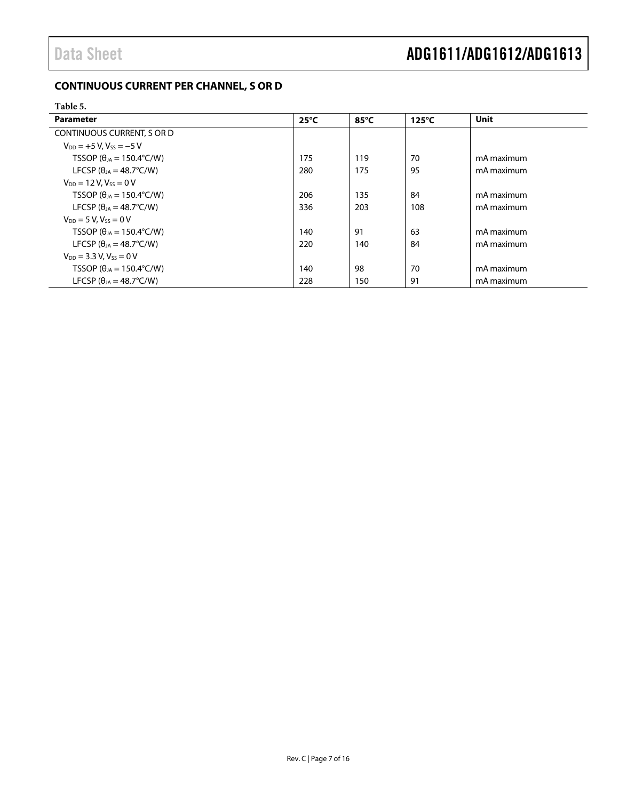### <span id="page-6-0"></span>**CONTINUOUS CURRENT PER CHANNEL, S OR D**

#### <span id="page-6-1"></span>**Table 5.**

| Parameter                                  | $25^{\circ}$ C | $85^{\circ}$ C | $125^{\circ}$ C | <b>Unit</b> |
|--------------------------------------------|----------------|----------------|-----------------|-------------|
| CONTINUOUS CURRENT, S OR D                 |                |                |                 |             |
| $V_{DD} = +5 V$ , $V_{SS} = -5 V$          |                |                |                 |             |
| TSSOP ( $\theta_{IA}$ = 150.4°C/W)         | 175            | 119            | 70              | mA maximum  |
| LFCSP ( $\theta_{IA}$ = 48.7°C/W)          | 280            | 175            | 95              | mA maximum  |
| $V_{DD} = 12 V$ , $V_{SS} = 0 V$           |                |                |                 |             |
| TSSOP ( $\theta_{IA}$ = 150.4°C/W)         | 206            | 135            | 84              | mA maximum  |
| LFCSP ( $\theta_{IA}$ = 48.7°C/W)          | 336            | 203            | 108             | mA maximum  |
| $V_{DD} = 5 V$ . $V_{SS} = 0 V$            |                |                |                 |             |
| TSSOP ( $\theta_{1A} = 150.4^{\circ}$ C/W) | 140            | 91             | 63              | mA maximum  |
| LFCSP ( $\theta_{IA}$ = 48.7°C/W)          | 220            | 140            | 84              | mA maximum  |
| $V_{DD} = 3.3 V$ , $V_{ss} = 0 V$          |                |                |                 |             |
| TSSOP ( $\theta_{JA}$ = 150.4°C/W)         | 140            | 98             | 70              | mA maximum  |
| LFCSP ( $\theta_{IA} = 48.7^{\circ}$ C/W)  | 228            | 150            | 91              | mA maximum  |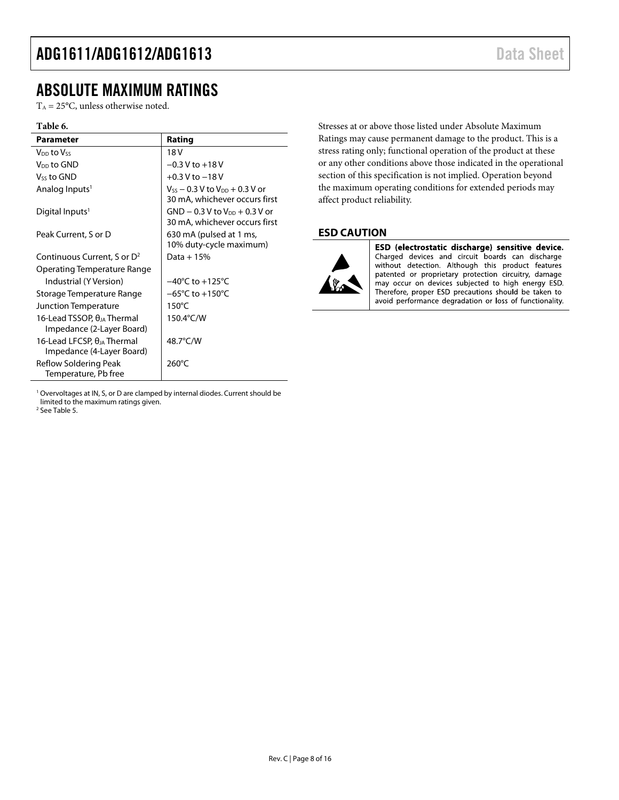### <span id="page-7-0"></span>ABSOLUTE MAXIMUM RATINGS

 $T_A = 25$ °C, unless otherwise noted.

#### **Table 6.**

| Parameter                                                         | Rating                                                                       |
|-------------------------------------------------------------------|------------------------------------------------------------------------------|
| V <sub>DD</sub> to Vss                                            | 18 V                                                                         |
| V <sub>DD</sub> to GND                                            | $-0.3$ V to $+18$ V                                                          |
| Vss to GND                                                        | $+0.3$ V to $-18$ V                                                          |
| Analog Inputs <sup>1</sup>                                        | $V_{SS}$ $-$ 0.3 V to $V_{DD}$ $+$ 0.3 V or<br>30 mA, whichever occurs first |
| Digital Inputs <sup>1</sup>                                       | $GND - 0.3 V$ to $V_{DD} + 0.3 V$ or<br>30 mA, whichever occurs first        |
| Peak Current, S or D                                              | 630 mA (pulsed at 1 ms,<br>10% duty-cycle maximum)                           |
| Continuous Current, S or D <sup>2</sup>                           | Data + $15%$                                                                 |
| Operating Temperature Range                                       |                                                                              |
| Industrial (Y Version)                                            | $-40^{\circ}$ C to $+125^{\circ}$ C                                          |
| Storage Temperature Range                                         | $-65^{\circ}$ C to $+150^{\circ}$ C                                          |
| Junction Temperature                                              | $150^{\circ}$ C                                                              |
| 16-Lead TSSOP. $\theta_{IA}$ Thermal<br>Impedance (2-Layer Board) | 150.4°C/W                                                                    |
| 16-Lead LFCSP, $\theta_{IA}$ Thermal<br>Impedance (4-Layer Board) | 48.7°C/W                                                                     |
| Reflow Soldering Peak<br>Temperature, Pb free                     | 260°C                                                                        |

<sup>1</sup> Overvoltages at IN, S, or D are clamped by internal diodes. Current should be limited to the maximum ratings given.

<sup>2</sup> Se[e Table 5.](#page-6-1)

Stresses at or above those listed under Absolute Maximum Ratings may cause permanent damage to the product. This is a stress rating only; functional operation of the product at these or any other conditions above those indicated in the operational section of this specification is not implied. Operation beyond the maximum operating conditions for extended periods may affect product reliability.

### <span id="page-7-1"></span>**ESD CAUTION**



ESD (electrostatic discharge) sensitive device. Charged devices and circuit boards can discharge without detection. Although this product features patented or proprietary protection circuitry, damage may occur on devices subjected to high energy ESD. Therefore, proper ESD precautions should be taken to avoid performance degradation or loss of functionality.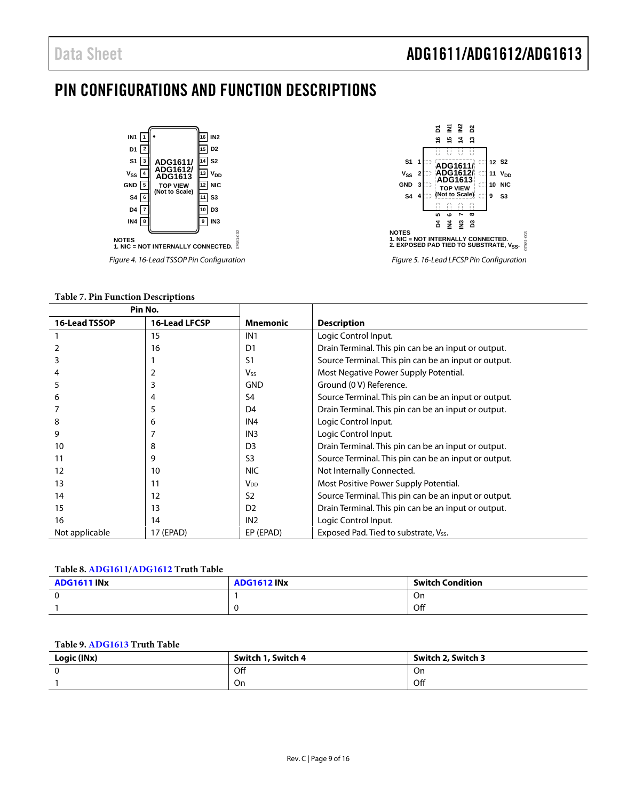### <span id="page-8-0"></span>PIN CONFIGURATIONS AND FUNCTION DESCRIPTIONS





**Table 7. Pin Function Descriptions**

| Pin No.        |                      |                        |                                                      |
|----------------|----------------------|------------------------|------------------------------------------------------|
| 16-Lead TSSOP  | <b>16-Lead LFCSP</b> | <b>Mnemonic</b>        | <b>Description</b>                                   |
|                | 15                   | IN <sub>1</sub>        | Logic Control Input.                                 |
|                | 16                   | D <sub>1</sub>         | Drain Terminal. This pin can be an input or output.  |
| 3              |                      | S1                     | Source Terminal. This pin can be an input or output. |
|                |                      | <b>V<sub>ss</sub></b>  | Most Negative Power Supply Potential.                |
| 5              |                      | <b>GND</b>             | Ground (0 V) Reference.                              |
| 6              | 4                    | S <sub>4</sub>         | Source Terminal. This pin can be an input or output. |
|                |                      | D <sub>4</sub>         | Drain Terminal. This pin can be an input or output.  |
| 8              | 6                    | IN <sub>4</sub>        | Logic Control Input.                                 |
| 9              |                      | IN <sub>3</sub>        | Logic Control Input.                                 |
| 10             | 8                    | D <sub>3</sub>         | Drain Terminal. This pin can be an input or output.  |
| 11             | 9                    | S <sub>3</sub>         | Source Terminal. This pin can be an input or output. |
| 12             | 10                   | <b>NIC</b>             | Not Internally Connected.                            |
| 13             | 11                   | <b>V</b> <sub>DD</sub> | Most Positive Power Supply Potential.                |
| 14             | 12                   | S <sub>2</sub>         | Source Terminal. This pin can be an input or output. |
| 15             | 13                   | D <sub>2</sub>         | Drain Terminal. This pin can be an input or output.  |
| 16             | 14                   | IN <sub>2</sub>        | Logic Control Input.                                 |
| Not applicable | 17 (EPAD)            | EP (EPAD)              | Exposed Pad. Tied to substrate, Vss.                 |

#### **Table 8[. ADG1611/](http://www.analog.com/ADG1611?doc=ADG1611_1612_1613.pdf)[ADG1612](http://www.analog.com/ADG1612?doc=ADG1611_1612_1613.pdf) Truth Table**

| <b>ADG1611 INX</b> | <b>ADG1612 INX</b> | <b>Switch Condition</b> |
|--------------------|--------------------|-------------------------|
| c                  |                    | On                      |
|                    |                    | Off                     |

#### **Table 9[. ADG1613](http://www.analog.com/ADG1613?doc=ADG1611_1612_1613.pdf) Truth Table**

| Logic (INx) | Switch 1, Switch 4 | Switch 2, Switch 3 |
|-------------|--------------------|--------------------|
|             | Off                | On                 |
|             | On                 | Off                |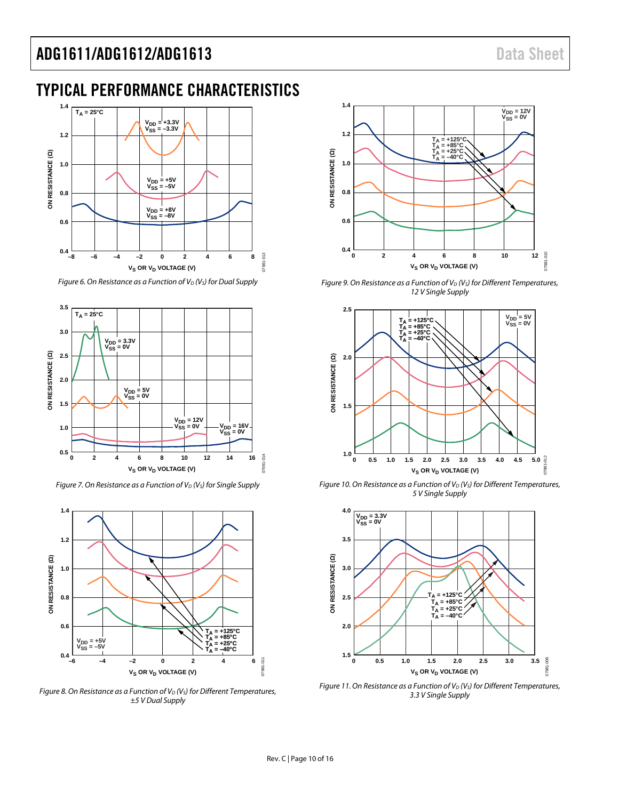### <span id="page-9-0"></span>TYPICAL PERFORMANCE CHARACTERISTICS



*Figure 6. On Resistance as a Function of V<sub>D</sub> (V<sub>s</sub>) for Dual Supply* 



*Figure 7. On Resistance as a Function of V<sub>D</sub> (V<sub>S</sub>) for Single Supply* 



*Figure 8. On Resistance as a Function of V<sub>D</sub> (V<sub>S</sub>) for Different Temperatures, ±5 V Dual Supply*



*Figure 9. On Resistance as a Function of V<sub>D</sub> (V<sub>S</sub>) for Different Temperatures, 12 V Single Supply*



*Figure 10. On Resistance as a Function of V<sub>D</sub> (V<sub>S</sub>) for Different Temperatures, 5 V Single Supply*



*Figure 11. On Resistance as a Function of V<sub>D</sub> (V<sub>S</sub>) for Different Temperatures, 3.3 V Single Supply*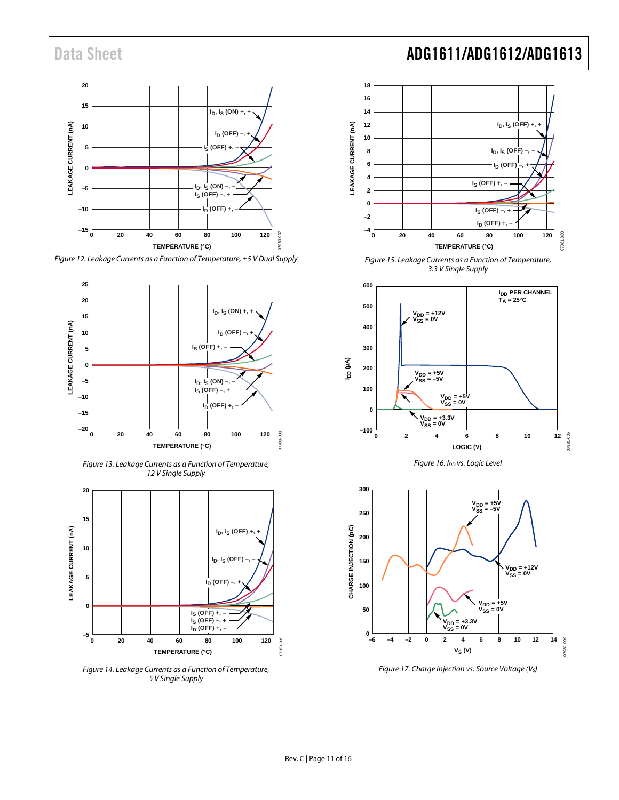

*Figure 12. Leakage Currents as a Function of Temperature, ±5 V Dual Supply*



*Figure 13. Leakage Currents as a Function of Temperature, 12 V Single Supply*



*Figure 14. Leakage Currents as a Function of Temperature, 5 V Single Supply*

### Data Sheet **ADG1611/ADG1612/ADG1613**



*Figure 15. Leakage Currents as a Function of Temperature, 3.3 V Single Supply*







*Figure 17. Charge Injection vs. Source Voltage (VS)*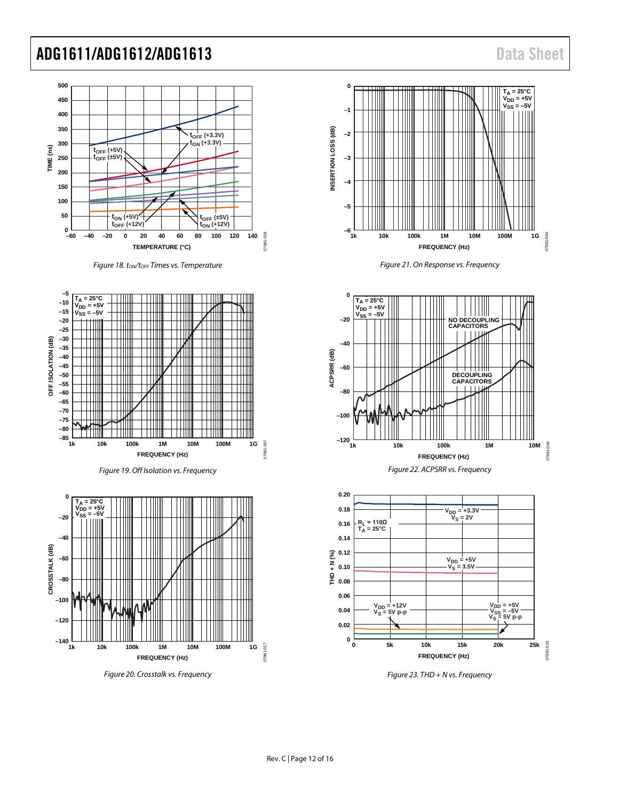

*Figure 18. tON/tOFF Times vs. Temperature*







*Figure 20. Crosstalk vs. Frequency*







*Figure 22. ACPSRR vs. Frequency*



*Figure 23. THD + N vs. Frequency*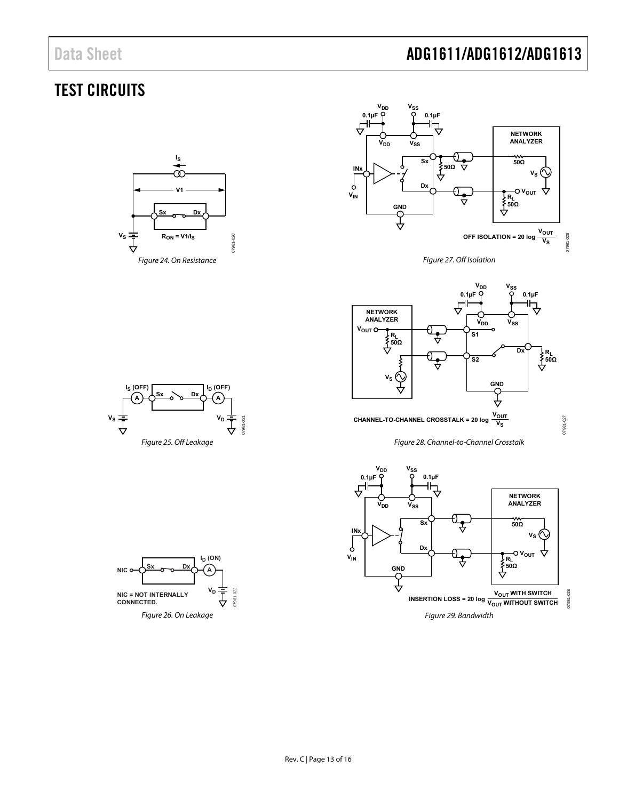### <span id="page-12-0"></span>TEST CIRCUITS

<span id="page-12-1"></span>





Figure 27. Off Isolation

<span id="page-12-4"></span>

Figure 28. Channel-to-Channel Crosstalk

<span id="page-12-6"></span><span id="page-12-5"></span>

<span id="page-12-2"></span>

<span id="page-12-3"></span>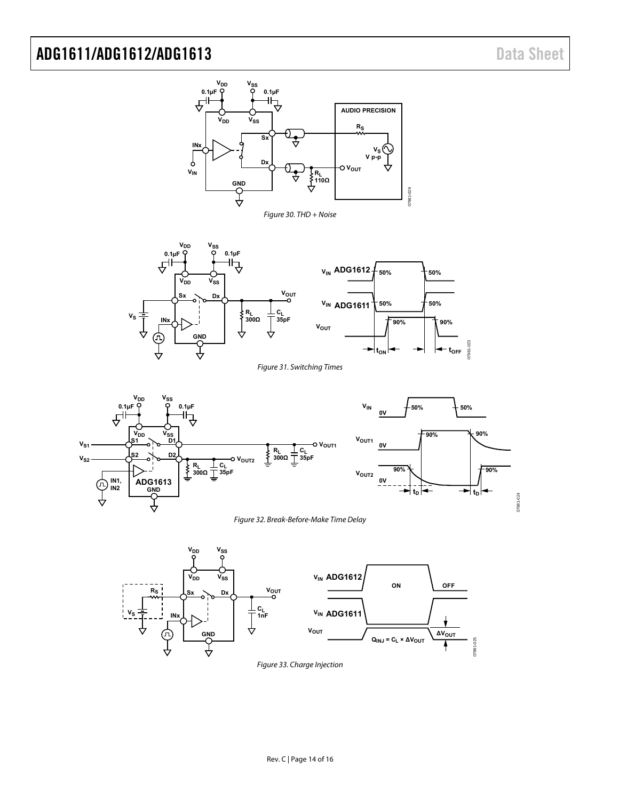

<span id="page-13-3"></span>



<span id="page-13-0"></span>



<span id="page-13-2"></span><span id="page-13-1"></span>

Figure 33. Charge Injection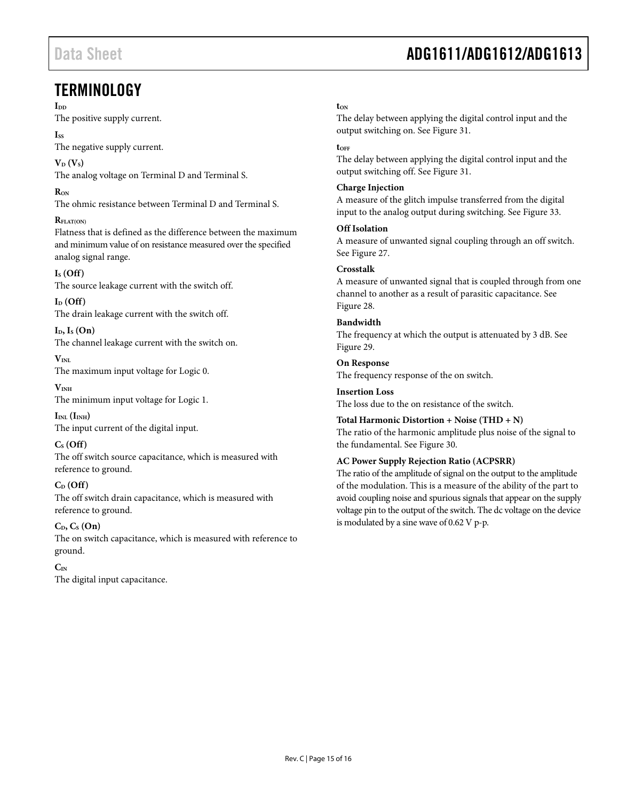### <span id="page-14-0"></span>**TERMINOLOGY**

#### I<sub>DD</sub>

The positive supply current.

### **Iss**

The negative supply current.

 $V_{\text{D}}(V_{\text{S}})$ The analog voltage on Terminal D and Terminal S.

### $R_{\text{ON}}$

The ohmic resistance between Terminal D and Terminal S.

### **RFLAT(ON)**

Flatness that is defined as the difference between the maximum and minimum value of on resistance measured over the specified analog signal range.

### **IS (Off)**

The source leakage current with the switch off.

 $I_D$  (Off) The drain leakage current with the switch off.

 $I<sub>D</sub>, I<sub>S</sub>$  **(On)** The channel leakage current with the switch on.

 $V_{\text{INI}}$ The maximum input voltage for Logic 0.

**VINH** The minimum input voltage for Logic 1.

 $I_{INL}$   $(I_{INH})$ The input current of the digital input.

### **CS (Off)**

The off switch source capacitance, which is measured with reference to ground.

### **CD (Off)**

The off switch drain capacitance, which is measured with reference to ground.

### $C_D, C_S$   $(On)$

The on switch capacitance, which is measured with reference to ground.

### **CIN**

The digital input capacitance.

# Data Sheet **ADG1611/ADG1612/ADG1613**

### **tON**

The delay between applying the digital control input and the output switching on. See [Figure 31.](#page-13-0)

### **tOFF**

The delay between applying the digital control input and the output switching off. Se[e Figure 31.](#page-13-0)

### **Charge Injection**

A measure of the glitch impulse transferred from the digital input to the analog output during switching. Se[e Figure 33.](#page-13-2)

### **Off Isolation**

A measure of unwanted signal coupling through an off switch. See [Figure 27.](#page-12-4)

### **Crosstalk**

A measure of unwanted signal that is coupled through from one channel to another as a result of parasitic capacitance. See [Figure 28.](#page-12-5)

### **Bandwidth**

The frequency at which the output is attenuated by 3 dB. See [Figure 29.](#page-12-6)

**On Response** 

The frequency response of the on switch.

### **Insertion Loss**

The loss due to the on resistance of the switch.

### **Total Harmonic Distortion + Noise (THD + N)**

The ratio of the harmonic amplitude plus noise of the signal to the fundamental. See [Figure 30.](#page-13-3)

### **AC Power Supply Rejection Ratio (ACPSRR)**

The ratio of the amplitude of signal on the output to the amplitude of the modulation. This is a measure of the ability of the part to avoid coupling noise and spurious signals that appear on the supply voltage pin to the output of the switch. The dc voltage on the device is modulated by a sine wave of 0.62 V p-p.